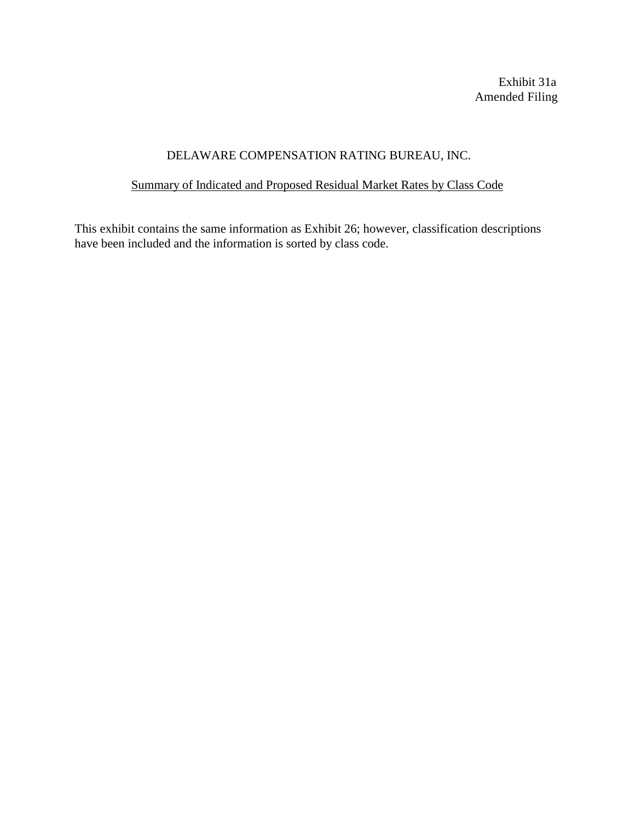Exhibit 31a Amended Filing

# DELAWARE COMPENSATION RATING BUREAU, INC.

# Summary of Indicated and Proposed Residual Market Rates by Class Code

This exhibit contains the same information as Exhibit 26; however, classification descriptions have been included and the information is sorted by class code.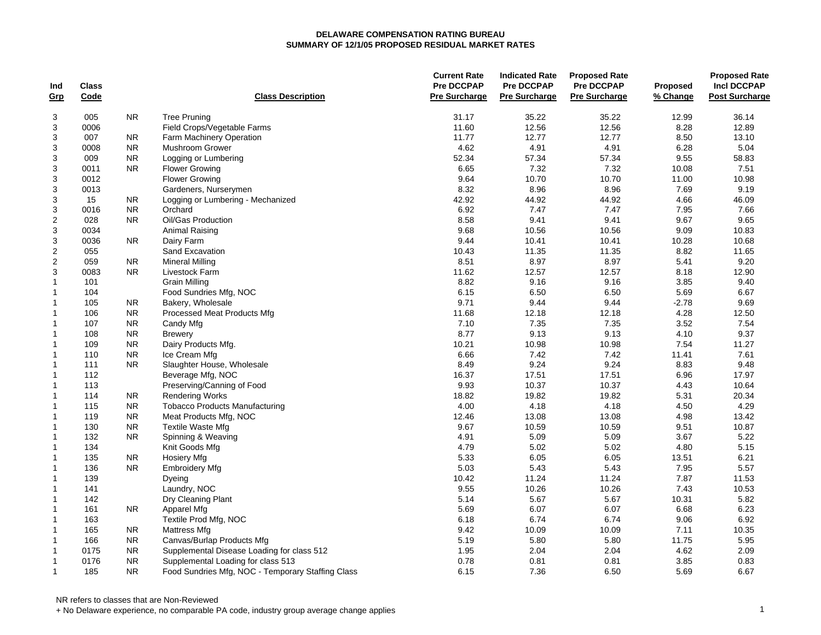| Ind<br>Grp     | <b>Class</b><br>Code |                | <b>Class Description</b>                          | <b>Current Rate</b><br><b>Pre DCCPAP</b><br><b>Pre Surcharge</b> | <b>Indicated Rate</b><br><b>Pre DCCPAP</b><br><b>Pre Surcharge</b> | <b>Proposed Rate</b><br><b>Pre DCCPAP</b><br>Pre Surcharge | Proposed<br>% Change | <b>Proposed Rate</b><br><b>Incl DCCPAP</b><br><b>Post Surcharge</b> |
|----------------|----------------------|----------------|---------------------------------------------------|------------------------------------------------------------------|--------------------------------------------------------------------|------------------------------------------------------------|----------------------|---------------------------------------------------------------------|
|                |                      |                |                                                   |                                                                  |                                                                    |                                                            |                      |                                                                     |
| 3              | 005                  | NR             | <b>Tree Pruning</b>                               | 31.17                                                            | 35.22                                                              | 35.22                                                      | 12.99                | 36.14                                                               |
| 3              | 0006                 |                | Field Crops/Vegetable Farms                       | 11.60                                                            | 12.56                                                              | 12.56                                                      | 8.28                 | 12.89                                                               |
| 3              | 007                  | NR.            | Farm Machinery Operation                          | 11.77                                                            | 12.77                                                              | 12.77                                                      | 8.50                 | 13.10                                                               |
| 3              | 0008                 | NR             | <b>Mushroom Grower</b>                            | 4.62                                                             | 4.91                                                               | 4.91                                                       | 6.28                 | 5.04                                                                |
| 3              | 009                  | <b>NR</b>      | Logging or Lumbering                              | 52.34                                                            | 57.34                                                              | 57.34                                                      | 9.55                 | 58.83                                                               |
| 3              | 0011                 | <b>NR</b>      | <b>Flower Growing</b>                             | 6.65                                                             | 7.32                                                               | 7.32                                                       | 10.08                | 7.51                                                                |
| 3              | 0012                 |                | <b>Flower Growing</b>                             | 9.64                                                             | 10.70                                                              | 10.70                                                      | 11.00                | 10.98                                                               |
| 3              | 0013                 |                | Gardeners, Nurserymen                             | 8.32                                                             | 8.96                                                               | 8.96                                                       | 7.69                 | 9.19                                                                |
| 3              | 15                   | <b>NR</b>      | Logging or Lumbering - Mechanized                 | 42.92                                                            | 44.92                                                              | 44.92                                                      | 4.66                 | 46.09                                                               |
| 3              | 0016                 | <b>NR</b>      | Orchard                                           | 6.92                                                             | 7.47                                                               | 7.47                                                       | 7.95                 | 7.66                                                                |
| 2              | 028                  | N <sub>R</sub> | Oil/Gas Production                                | 8.58                                                             | 9.41                                                               | 9.41                                                       | 9.67                 | 9.65                                                                |
| 3              | 0034                 |                | Animal Raising                                    | 9.68                                                             | 10.56                                                              | 10.56                                                      | 9.09                 | 10.83                                                               |
| 3              | 0036                 | <b>NR</b>      | Dairy Farm                                        | 9.44                                                             | 10.41                                                              | 10.41                                                      | 10.28                | 10.68                                                               |
| $\overline{c}$ | 055                  |                | Sand Excavation                                   | 10.43                                                            | 11.35                                                              | 11.35                                                      | 8.82                 | 11.65                                                               |
| 2              | 059                  | <b>NR</b>      | <b>Mineral Milling</b>                            | 8.51                                                             | 8.97                                                               | 8.97                                                       | 5.41                 | 9.20                                                                |
| 3              | 0083                 | NR             | Livestock Farm                                    | 11.62                                                            | 12.57                                                              | 12.57                                                      | 8.18                 | 12.90                                                               |
| $\mathbf{1}$   | 101                  |                | <b>Grain Milling</b>                              | 8.82                                                             | 9.16                                                               | 9.16                                                       | 3.85                 | 9.40                                                                |
| $\mathbf{1}$   | 104                  |                | Food Sundries Mfg, NOC                            | 6.15                                                             | 6.50                                                               | 6.50                                                       | 5.69                 | 6.67                                                                |
| $\mathbf{1}$   | 105                  | NR             | Bakery, Wholesale                                 | 9.71                                                             | 9.44                                                               | 9.44                                                       | $-2.78$              | 9.69                                                                |
| $\mathbf{1}$   | 106                  | NR             | Processed Meat Products Mfg                       | 11.68                                                            | 12.18                                                              | 12.18                                                      | 4.28                 | 12.50                                                               |
| $\mathbf{1}$   | 107                  | <b>NR</b>      | Candy Mfg                                         | 7.10                                                             | 7.35                                                               | 7.35                                                       | 3.52                 | 7.54                                                                |
| $\mathbf{1}$   | 108                  | <b>NR</b>      | <b>Brewery</b>                                    | 8.77                                                             | 9.13                                                               | 9.13                                                       | 4.10                 | 9.37                                                                |
| $\mathbf{1}$   | 109                  | <b>NR</b>      | Dairy Products Mfg.                               | 10.21                                                            | 10.98                                                              | 10.98                                                      | 7.54                 | 11.27                                                               |
| 1              | 110                  | <b>NR</b>      | Ice Cream Mfg                                     | 6.66                                                             | 7.42                                                               | 7.42                                                       | 11.41                | 7.61                                                                |
| 1              | 111                  | <b>NR</b>      | Slaughter House, Wholesale                        | 8.49                                                             | 9.24                                                               | 9.24                                                       | 8.83                 | 9.48                                                                |
| $\mathbf{1}$   | 112                  |                | Beverage Mfg, NOC                                 | 16.37                                                            | 17.51                                                              | 17.51                                                      | 6.96                 | 17.97                                                               |
| $\mathbf{1}$   | 113                  |                | Preserving/Canning of Food                        | 9.93                                                             | 10.37                                                              | 10.37                                                      | 4.43                 | 10.64                                                               |
| $\mathbf{1}$   | 114                  | N <sub>R</sub> | <b>Rendering Works</b>                            | 18.82                                                            | 19.82                                                              | 19.82                                                      | 5.31                 | 20.34                                                               |
| $\mathbf{1}$   | 115                  | N <sub>R</sub> | <b>Tobacco Products Manufacturing</b>             | 4.00                                                             | 4.18                                                               | 4.18                                                       | 4.50                 | 4.29                                                                |
| $\mathbf{1}$   | 119                  | <b>NR</b>      | Meat Products Mfg, NOC                            | 12.46                                                            | 13.08                                                              | 13.08                                                      | 4.98                 | 13.42                                                               |
| $\mathbf{1}$   | 130                  | <b>NR</b>      | <b>Textile Waste Mfg</b>                          | 9.67                                                             | 10.59                                                              | 10.59                                                      | 9.51                 | 10.87                                                               |
| 1              | 132                  | <b>NR</b>      | Spinning & Weaving                                | 4.91                                                             | 5.09                                                               | 5.09                                                       | 3.67                 | 5.22                                                                |
| $\mathbf{1}$   | 134                  |                | Knit Goods Mfg                                    | 4.79                                                             | 5.02                                                               | 5.02                                                       | 4.80                 | 5.15                                                                |
| $\mathbf{1}$   | 135                  | NR             | <b>Hosiery Mfg</b>                                | 5.33                                                             | 6.05                                                               | 6.05                                                       | 13.51                | 6.21                                                                |
| $\mathbf{1}$   | 136                  | N <sub>R</sub> | <b>Embroidery Mfg</b>                             | 5.03                                                             | 5.43                                                               | 5.43                                                       | 7.95                 | 5.57                                                                |
| $\mathbf{1}$   | 139                  |                | Dyeing                                            | 10.42                                                            | 11.24                                                              | 11.24                                                      | 7.87                 | 11.53                                                               |
| $\mathbf{1}$   | 141                  |                | Laundry, NOC                                      | 9.55                                                             | 10.26                                                              | 10.26                                                      | 7.43                 | 10.53                                                               |
| $\mathbf{1}$   | 142                  |                | Dry Cleaning Plant                                | 5.14                                                             | 5.67                                                               | 5.67                                                       | 10.31                | 5.82                                                                |
| $\mathbf{1}$   | 161                  | N <sub>R</sub> | Apparel Mfg                                       | 5.69                                                             | 6.07                                                               | 6.07                                                       | 6.68                 | 6.23                                                                |
| 1              | 163                  |                | Textile Prod Mfg, NOC                             | 6.18                                                             | 6.74                                                               | 6.74                                                       | 9.06                 | 6.92                                                                |
| 1              | 165                  | NR             | Mattress Mfg                                      | 9.42                                                             | 10.09                                                              | 10.09                                                      | 7.11                 | 10.35                                                               |
| $\mathbf{1}$   | 166                  | <b>NR</b>      | Canvas/Burlap Products Mfg                        | 5.19                                                             | 5.80                                                               | 5.80                                                       | 11.75                | 5.95                                                                |
| 1              | 0175                 | <b>NR</b>      | Supplemental Disease Loading for class 512        | 1.95                                                             | 2.04                                                               | 2.04                                                       | 4.62                 | 2.09                                                                |
| $\mathbf{1}$   | 0176                 | <b>NR</b>      | Supplemental Loading for class 513                | 0.78                                                             | 0.81                                                               | 0.81                                                       | 3.85                 | 0.83                                                                |
| 1              | 185                  | <b>NR</b>      | Food Sundries Mfg, NOC - Temporary Staffing Class | 6.15                                                             | 7.36                                                               | 6.50                                                       | 5.69                 | 6.67                                                                |

NR refers to classes that are Non-Reviewed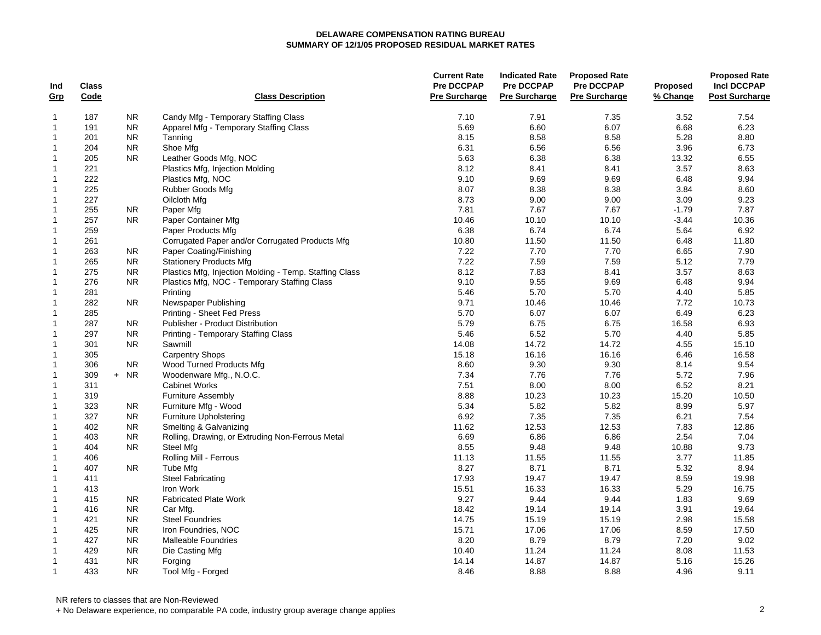|              |              |           |                                                        | <b>Current Rate</b>  | <b>Indicated Rate</b> | <b>Proposed Rate</b> |                 | <b>Proposed Rate</b>  |
|--------------|--------------|-----------|--------------------------------------------------------|----------------------|-----------------------|----------------------|-----------------|-----------------------|
| Ind          | <b>Class</b> |           |                                                        | <b>Pre DCCPAP</b>    | <b>Pre DCCPAP</b>     | Pre DCCPAP           | <b>Proposed</b> | <b>Incl DCCPAP</b>    |
| <u>Grp</u>   | Code         |           | <b>Class Description</b>                               | <b>Pre Surcharge</b> | <b>Pre Surcharge</b>  | <b>Pre Surcharge</b> | % Change        | <b>Post Surcharge</b> |
| 1            | 187          | <b>NR</b> | Candy Mfg - Temporary Staffing Class                   | 7.10                 | 7.91                  | 7.35                 | 3.52            | 7.54                  |
| 1            | 191          | <b>NR</b> | Apparel Mfg - Temporary Staffing Class                 | 5.69                 | 6.60                  | 6.07                 | 6.68            | 6.23                  |
| 1            | 201          | <b>NR</b> | Tanning                                                | 8.15                 | 8.58                  | 8.58                 | 5.28            | 8.80                  |
| 1            | 204          | <b>NR</b> | Shoe Mfg                                               | 6.31                 | 6.56                  | 6.56                 | 3.96            | 6.73                  |
| 1            | 205          | <b>NR</b> | Leather Goods Mfg, NOC                                 | 5.63                 | 6.38                  | 6.38                 | 13.32           | 6.55                  |
| 1            | 221          |           | Plastics Mfg, Injection Molding                        | 8.12                 | 8.41                  | 8.41                 | 3.57            | 8.63                  |
| 1            | 222          |           | Plastics Mfg, NOC                                      | 9.10                 | 9.69                  | 9.69                 | 6.48            | 9.94                  |
| 1            | 225          |           | <b>Rubber Goods Mfg</b>                                | 8.07                 | 8.38                  | 8.38                 | 3.84            | 8.60                  |
| $\mathbf{1}$ | 227          |           | Oilcloth Mfg                                           | 8.73                 | 9.00                  | 9.00                 | 3.09            | 9.23                  |
| 1            | 255          | <b>NR</b> | Paper Mfg                                              | 7.81                 | 7.67                  | 7.67                 | $-1.79$         | 7.87                  |
| $\mathbf{1}$ | 257          | <b>NR</b> | Paper Container Mfg                                    | 10.46                | 10.10                 | 10.10                | $-3.44$         | 10.36                 |
| $\mathbf{1}$ | 259          |           | Paper Products Mfg                                     | 6.38                 | 6.74                  | 6.74                 | 5.64            | 6.92                  |
| $\mathbf{1}$ | 261          |           | Corrugated Paper and/or Corrugated Products Mfg        | 10.80                | 11.50                 | 11.50                | 6.48            | 11.80                 |
| 1            | 263          | <b>NR</b> | Paper Coating/Finishing                                | 7.22                 | 7.70                  | 7.70                 | 6.65            | 7.90                  |
| 1            | 265          | <b>NR</b> | <b>Stationery Products Mfg</b>                         | 7.22                 | 7.59                  | 7.59                 | 5.12            | 7.79                  |
| 1            | 275          | <b>NR</b> | Plastics Mfg, Injection Molding - Temp. Staffing Class | 8.12                 | 7.83                  | 8.41                 | 3.57            | 8.63                  |
| 1            | 276          | <b>NR</b> | Plastics Mfg, NOC - Temporary Staffing Class           | 9.10                 | 9.55                  | 9.69                 | 6.48            | 9.94                  |
| 1            | 281          |           | Printing                                               | 5.46                 | 5.70                  | 5.70                 | 4.40            | 5.85                  |
| $\mathbf{1}$ | 282          | <b>NR</b> | Newspaper Publishing                                   | 9.71                 | 10.46                 | 10.46                | 7.72            | 10.73                 |
| 1            | 285          |           | Printing - Sheet Fed Press                             | 5.70                 | 6.07                  | 6.07                 | 6.49            | 6.23                  |
| 1            | 287          | <b>NR</b> | Publisher - Product Distribution                       | 5.79                 | 6.75                  | 6.75                 | 16.58           | 6.93                  |
| 1            | 297          | <b>NR</b> | <b>Printing - Temporary Staffing Class</b>             | 5.46                 | 6.52                  | 5.70                 | 4.40            | 5.85                  |
| 1            | 301          | <b>NR</b> | Sawmill                                                | 14.08                | 14.72                 | 14.72                | 4.55            | 15.10                 |
| 1            | 305          |           | <b>Carpentry Shops</b>                                 | 15.18                | 16.16                 | 16.16                | 6.46            | 16.58                 |
| $\mathbf{1}$ | 306          | <b>NR</b> | Wood Turned Products Mfg                               | 8.60                 | 9.30                  | 9.30                 | 8.14            | 9.54                  |
| 1            | 309          | $+ NR$    | Woodenware Mfg., N.O.C.                                | 7.34                 | 7.76                  | 7.76                 | 5.72            | 7.96                  |
| 1            | 311          |           | <b>Cabinet Works</b>                                   | 7.51                 | 8.00                  | 8.00                 | 6.52            | 8.21                  |
| 1            | 319          |           | <b>Furniture Assembly</b>                              | 8.88                 | 10.23                 | 10.23                | 15.20           | 10.50                 |
| 1            | 323          | <b>NR</b> | Furniture Mfg - Wood                                   | 5.34                 | 5.82                  | 5.82                 | 8.99            | 5.97                  |
| 1            | 327          | <b>NR</b> | <b>Furniture Upholstering</b>                          | 6.92                 | 7.35                  | 7.35                 | 6.21            | 7.54                  |
| 1            | 402          | <b>NR</b> | Smelting & Galvanizing                                 | 11.62                | 12.53                 | 12.53                | 7.83            | 12.86                 |
| 1            | 403          | <b>NR</b> | Rolling, Drawing, or Extruding Non-Ferrous Metal       | 6.69                 | 6.86                  | 6.86                 | 2.54            | 7.04                  |
| $\mathbf{1}$ | 404          | <b>NR</b> | Steel Mfg                                              | 8.55                 | 9.48                  | 9.48                 | 10.88           | 9.73                  |
| $\mathbf{1}$ | 406          |           | <b>Rolling Mill - Ferrous</b>                          | 11.13                | 11.55                 | 11.55                | 3.77            | 11.85                 |
| $\mathbf{1}$ | 407          | <b>NR</b> | Tube Mfg                                               | 8.27                 | 8.71                  | 8.71                 | 5.32            | 8.94                  |
| $\mathbf{1}$ | 411          |           | <b>Steel Fabricating</b>                               | 17.93                | 19.47                 | 19.47                | 8.59            | 19.98                 |
| $\mathbf{1}$ | 413          |           | Iron Work                                              | 15.51                | 16.33                 | 16.33                | 5.29            | 16.75                 |
| $\mathbf{1}$ | 415          | <b>NR</b> | <b>Fabricated Plate Work</b>                           | 9.27                 | 9.44                  | 9.44                 | 1.83            | 9.69                  |
| 1            | 416          | <b>NR</b> | Car Mfg.                                               | 18.42                | 19.14                 | 19.14                | 3.91            | 19.64                 |
| 1            | 421          | <b>NR</b> | <b>Steel Foundries</b>                                 | 14.75                | 15.19                 | 15.19                | 2.98            | 15.58                 |
| 1            | 425          | <b>NR</b> | Iron Foundries, NOC                                    | 15.71                | 17.06                 | 17.06                | 8.59            | 17.50                 |
| 1            | 427          | NR.       | <b>Malleable Foundries</b>                             | 8.20                 | 8.79                  | 8.79                 | 7.20            | 9.02                  |
| 1            | 429          | NR.       | Die Casting Mfg                                        | 10.40                | 11.24                 | 11.24                | 8.08            | 11.53                 |
| 1            | 431          | <b>NR</b> | Forging                                                | 14.14                | 14.87                 | 14.87                | 5.16            | 15.26                 |
| 1            | 433          | <b>NR</b> | Tool Mfg - Forged                                      | 8.46                 | 8.88                  | 8.88                 | 4.96            | 9.11                  |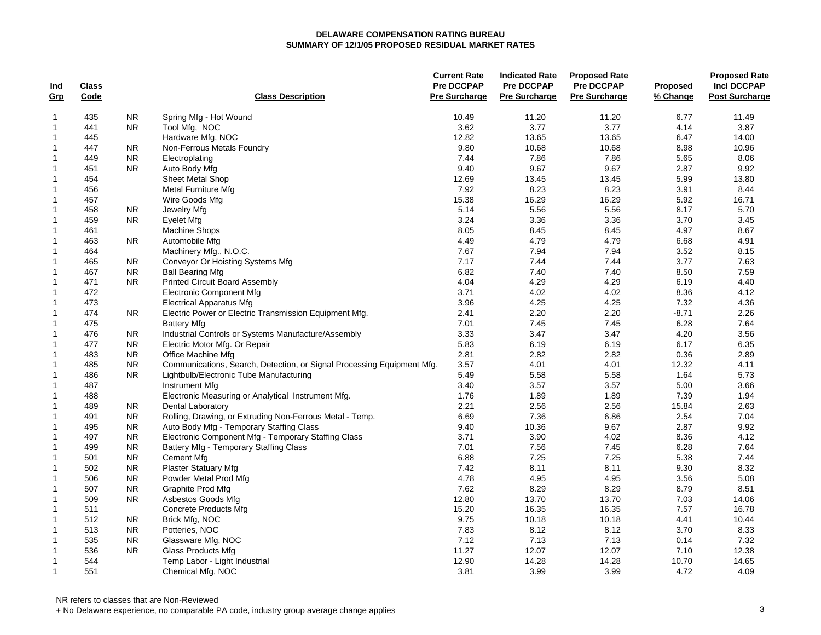| Ind<br>Grp   | <b>Class</b><br>Code |                | <b>Class Description</b>                                               | <b>Current Rate</b><br><b>Pre DCCPAP</b><br><b>Pre Surcharge</b> | <b>Indicated Rate</b><br><b>Pre DCCPAP</b><br><b>Pre Surcharge</b> | <b>Proposed Rate</b><br><b>Pre DCCPAP</b><br><b>Pre Surcharge</b> | <b>Proposed</b><br>% Change | <b>Proposed Rate</b><br>Incl DCCPAP<br><b>Post Surcharge</b> |
|--------------|----------------------|----------------|------------------------------------------------------------------------|------------------------------------------------------------------|--------------------------------------------------------------------|-------------------------------------------------------------------|-----------------------------|--------------------------------------------------------------|
| 1            | 435                  | NR             | Spring Mfg - Hot Wound                                                 | 10.49                                                            | 11.20                                                              | 11.20                                                             | 6.77                        | 11.49                                                        |
| $\mathbf{1}$ | 441                  | NR             | Tool Mfg, NOC                                                          | 3.62                                                             | 3.77                                                               | 3.77                                                              | 4.14                        | 3.87                                                         |
| 1            | 445                  |                | Hardware Mfg, NOC                                                      | 12.82                                                            | 13.65                                                              | 13.65                                                             | 6.47                        | 14.00                                                        |
| $\mathbf{1}$ | 447                  | NR             | Non-Ferrous Metals Foundry                                             | 9.80                                                             | 10.68                                                              | 10.68                                                             | 8.98                        | 10.96                                                        |
| 1            | 449                  | <b>NR</b>      | Electroplating                                                         | 7.44                                                             | 7.86                                                               | 7.86                                                              | 5.65                        | 8.06                                                         |
| 1            | 451                  | NR             | Auto Body Mfg                                                          | 9.40                                                             | 9.67                                                               | 9.67                                                              | 2.87                        | 9.92                                                         |
| 1            | 454                  |                | <b>Sheet Metal Shop</b>                                                | 12.69                                                            | 13.45                                                              | 13.45                                                             | 5.99                        | 13.80                                                        |
| $\mathbf{1}$ | 456                  |                | Metal Furniture Mfg                                                    | 7.92                                                             | 8.23                                                               | 8.23                                                              | 3.91                        | 8.44                                                         |
| $\mathbf{1}$ | 457                  |                | Wire Goods Mfg                                                         | 15.38                                                            | 16.29                                                              | 16.29                                                             | 5.92                        | 16.71                                                        |
| $\mathbf{1}$ | 458                  | NR             | Jewelry Mfg                                                            | 5.14                                                             | 5.56                                                               | 5.56                                                              | 8.17                        | 5.70                                                         |
| $\mathbf{1}$ | 459                  | N <sub>R</sub> | Eyelet Mfg                                                             | 3.24                                                             | 3.36                                                               | 3.36                                                              | 3.70                        | 3.45                                                         |
| $\mathbf{1}$ | 461                  |                | Machine Shops                                                          | 8.05                                                             | 8.45                                                               | 8.45                                                              | 4.97                        | 8.67                                                         |
| $\mathbf{1}$ | 463                  | <b>NR</b>      | Automobile Mfg                                                         | 4.49                                                             | 4.79                                                               | 4.79                                                              | 6.68                        | 4.91                                                         |
| $\mathbf{1}$ | 464                  |                | Machinery Mfg., N.O.C.                                                 | 7.67                                                             | 7.94                                                               | 7.94                                                              | 3.52                        | 8.15                                                         |
| $\mathbf{1}$ | 465                  | NR             | Conveyor Or Hoisting Systems Mfg                                       | 7.17                                                             | 7.44                                                               | 7.44                                                              | 3.77                        | 7.63                                                         |
| $\mathbf{1}$ | 467                  | N <sub>R</sub> | <b>Ball Bearing Mfg</b>                                                | 6.82                                                             | 7.40                                                               | 7.40                                                              | 8.50                        | 7.59                                                         |
| 1            | 471                  | <b>NR</b>      | <b>Printed Circuit Board Assembly</b>                                  | 4.04                                                             | 4.29                                                               | 4.29                                                              | 6.19                        | 4.40                                                         |
| 1            | 472                  |                | <b>Electronic Component Mfg</b>                                        | 3.71                                                             | 4.02                                                               | 4.02                                                              | 8.36                        | 4.12                                                         |
| $\mathbf{1}$ | 473                  |                | <b>Electrical Apparatus Mfg</b>                                        | 3.96                                                             | 4.25                                                               | 4.25                                                              | 7.32                        | 4.36                                                         |
| 1            | 474                  | NR             | Electric Power or Electric Transmission Equipment Mfg.                 | 2.41                                                             | 2.20                                                               | 2.20                                                              | $-8.71$                     | 2.26                                                         |
| $\mathbf{1}$ | 475                  |                | <b>Battery Mfg</b>                                                     | 7.01                                                             | 7.45                                                               | 7.45                                                              | 6.28                        | 7.64                                                         |
| 1            | 476                  | NR             | Industrial Controls or Systems Manufacture/Assembly                    | 3.33                                                             | 3.47                                                               | 3.47                                                              | 4.20                        | 3.56                                                         |
| 1            | 477                  | NR.            | Electric Motor Mfg. Or Repair                                          | 5.83                                                             | 6.19                                                               | 6.19                                                              | 6.17                        | 6.35                                                         |
| 1            | 483                  | NR.            | Office Machine Mfg                                                     | 2.81                                                             | 2.82                                                               | 2.82                                                              | 0.36                        | 2.89                                                         |
| $\mathbf{1}$ | 485                  | <b>NR</b>      | Communications, Search, Detection, or Signal Processing Equipment Mfg. | 3.57                                                             | 4.01                                                               | 4.01                                                              | 12.32                       | 4.11                                                         |
| $\mathbf{1}$ | 486                  | <b>NR</b>      | Lightbulb/Electronic Tube Manufacturing                                | 5.49                                                             | 5.58                                                               | 5.58                                                              | 1.64                        | 5.73                                                         |
| $\mathbf{1}$ | 487                  |                | <b>Instrument Mfg</b>                                                  | 3.40                                                             | 3.57                                                               | 3.57                                                              | 5.00                        | 3.66                                                         |
| $\mathbf{1}$ | 488                  |                | Electronic Measuring or Analytical Instrument Mfg.                     | 1.76                                                             | 1.89                                                               | 1.89                                                              | 7.39                        | 1.94                                                         |
| $\mathbf{1}$ | 489                  | NR             | Dental Laboratory                                                      | 2.21                                                             | 2.56                                                               | 2.56                                                              | 15.84                       | 2.63                                                         |
| $\mathbf{1}$ | 491                  | <b>NR</b>      | Rolling, Drawing, or Extruding Non-Ferrous Metal - Temp.               | 6.69                                                             | 7.36                                                               | 6.86                                                              | 2.54                        | 7.04                                                         |
| $\mathbf{1}$ | 495                  | <b>NR</b>      | Auto Body Mfg - Temporary Staffing Class                               | 9.40                                                             | 10.36                                                              | 9.67                                                              | 2.87                        | 9.92                                                         |
| $\mathbf{1}$ | 497                  | NR             | Electronic Component Mfg - Temporary Staffing Class                    | 3.71                                                             | 3.90                                                               | 4.02                                                              | 8.36                        | 4.12                                                         |
| 1            | 499                  | <b>NR</b>      | Battery Mfg - Temporary Staffing Class                                 | 7.01                                                             | 7.56                                                               | 7.45                                                              | 6.28                        | 7.64                                                         |
| $\mathbf{1}$ | 501                  | <b>NR</b>      | <b>Cement Mfg</b>                                                      | 6.88                                                             | 7.25                                                               | 7.25                                                              | 5.38                        | 7.44                                                         |
| 1            | 502                  | <b>NR</b>      | Plaster Statuary Mfg                                                   | 7.42                                                             | 8.11                                                               | 8.11                                                              | 9.30                        | 8.32                                                         |
| $\mathbf{1}$ | 506                  | <b>NR</b>      | Powder Metal Prod Mfg                                                  | 4.78                                                             | 4.95                                                               | 4.95                                                              | 3.56                        | 5.08                                                         |
| 1            | 507                  | <b>NR</b>      | Graphite Prod Mfg                                                      | 7.62                                                             | 8.29                                                               | 8.29                                                              | 8.79                        | 8.51                                                         |
| 1            | 509                  | <b>NR</b>      | Asbestos Goods Mfg                                                     | 12.80                                                            | 13.70                                                              | 13.70                                                             | 7.03                        | 14.06                                                        |
| 1            | 511                  |                | Concrete Products Mfg                                                  | 15.20                                                            | 16.35                                                              | 16.35                                                             | 7.57                        | 16.78                                                        |
| 1            | 512                  | NR.            | Brick Mfg, NOC                                                         | 9.75                                                             | 10.18                                                              | 10.18                                                             | 4.41                        | 10.44                                                        |
| $\mathbf{1}$ | 513                  | <b>NR</b>      | Potteries, NOC                                                         | 7.83                                                             | 8.12                                                               | 8.12                                                              | 3.70                        | 8.33                                                         |
| $\mathbf{1}$ | 535                  | N <sub>R</sub> | Glassware Mfg, NOC                                                     | 7.12                                                             | 7.13                                                               | 7.13                                                              | 0.14                        | 7.32                                                         |
| $\mathbf{1}$ | 536                  | <b>NR</b>      | Glass Products Mfg                                                     | 11.27                                                            | 12.07                                                              | 12.07                                                             | 7.10                        | 12.38                                                        |
| $\mathbf{1}$ | 544                  |                | Temp Labor - Light Industrial                                          | 12.90                                                            | 14.28                                                              | 14.28                                                             | 10.70                       | 14.65                                                        |
| $\mathbf{1}$ | 551                  |                | Chemical Mfg, NOC                                                      | 3.81                                                             | 3.99                                                               | 3.99                                                              | 4.72                        | 4.09                                                         |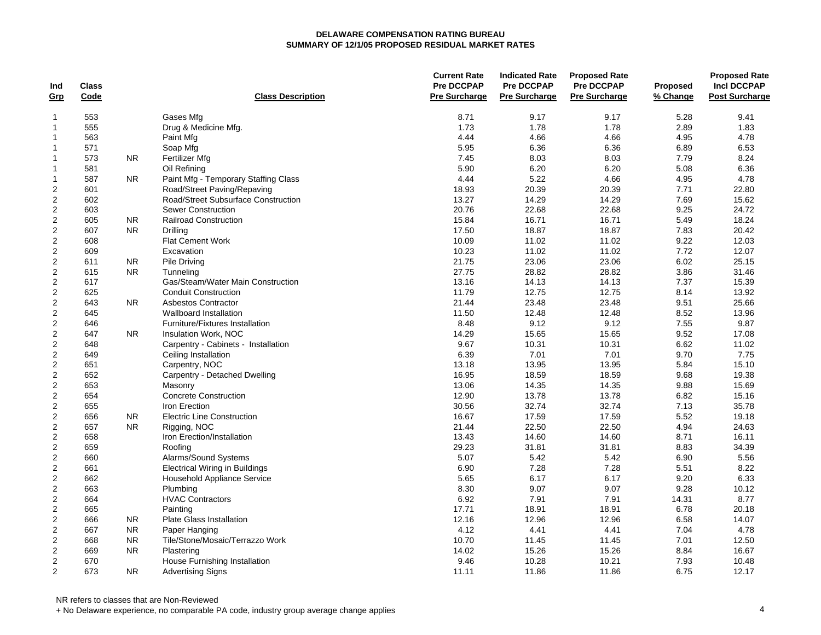|                  |              |                |                                       | <b>Current Rate</b>  | <b>Indicated Rate</b> | <b>Proposed Rate</b> |                 | <b>Proposed Rate</b>  |
|------------------|--------------|----------------|---------------------------------------|----------------------|-----------------------|----------------------|-----------------|-----------------------|
| Ind              | <b>Class</b> |                |                                       | <b>Pre DCCPAP</b>    | <b>Pre DCCPAP</b>     | <b>Pre DCCPAP</b>    | <b>Proposed</b> | <b>Incl DCCPAP</b>    |
| <u>Grp</u>       | <b>Code</b>  |                | <b>Class Description</b>              | <b>Pre Surcharge</b> | <b>Pre Surcharge</b>  | <b>Pre Surcharge</b> | % Change        | <b>Post Surcharge</b> |
| $\mathbf{1}$     | 553          |                | Gases Mfg                             | 8.71                 | 9.17                  | 9.17                 | 5.28            | 9.41                  |
| $\mathbf{1}$     | 555          |                | Drug & Medicine Mfg.                  | 1.73                 | 1.78                  | 1.78                 | 2.89            | 1.83                  |
| $\mathbf{1}$     | 563          |                | Paint Mfg                             | 4.44                 | 4.66                  | 4.66                 | 4.95            | 4.78                  |
| $\mathbf{1}$     | 571          |                | Soap Mfg                              | 5.95                 | 6.36                  | 6.36                 | 6.89            | 6.53                  |
| 1                | 573          | <b>NR</b>      | Fertilizer Mfg                        | 7.45                 | 8.03                  | 8.03                 | 7.79            | 8.24                  |
| $\mathbf{1}$     | 581          |                | Oil Refining                          | 5.90                 | 6.20                  | 6.20                 | 5.08            | 6.36                  |
| $\mathbf{1}$     | 587          | <b>NR</b>      | Paint Mfg - Temporary Staffing Class  | 4.44                 | 5.22                  | 4.66                 | 4.95            | 4.78                  |
| $\overline{2}$   | 601          |                | Road/Street Paving/Repaving           | 18.93                | 20.39                 | 20.39                | 7.71            | 22.80                 |
| $\overline{c}$   | 602          |                | Road/Street Subsurface Construction   | 13.27                | 14.29                 | 14.29                | 7.69            | 15.62                 |
| $\boldsymbol{2}$ | 603          |                | <b>Sewer Construction</b>             | 20.76                | 22.68                 | 22.68                | 9.25            | 24.72                 |
| $\boldsymbol{2}$ | 605          | <b>NR</b>      | <b>Railroad Construction</b>          | 15.84                | 16.71                 | 16.71                | 5.49            | 18.24                 |
| $\overline{2}$   | 607          | <b>NR</b>      | Drilling                              | 17.50                | 18.87                 | 18.87                | 7.83            | 20.42                 |
| $\sqrt{2}$       | 608          |                | <b>Flat Cement Work</b>               | 10.09                | 11.02                 | 11.02                | 9.22            | 12.03                 |
| $\overline{c}$   | 609          |                | Excavation                            | 10.23                | 11.02                 | 11.02                | 7.72            | 12.07                 |
| $\overline{c}$   | 611          | <b>NR</b>      | <b>Pile Driving</b>                   | 21.75                | 23.06                 | 23.06                | 6.02            | 25.15                 |
| $\overline{2}$   | 615          | <b>NR</b>      | Tunneling                             | 27.75                | 28.82                 | 28.82                | 3.86            | 31.46                 |
| $\overline{2}$   | 617          |                | Gas/Steam/Water Main Construction     | 13.16                | 14.13                 | 14.13                | 7.37            | 15.39                 |
| $\overline{c}$   | 625          |                | <b>Conduit Construction</b>           | 11.79                | 12.75                 | 12.75                | 8.14            | 13.92                 |
| $\overline{2}$   | 643          | <b>NR</b>      | <b>Asbestos Contractor</b>            | 21.44                | 23.48                 | 23.48                | 9.51            | 25.66                 |
| $\mathbf 2$      | 645          |                | Wallboard Installation                | 11.50                | 12.48                 | 12.48                | 8.52            | 13.96                 |
| $\overline{2}$   | 646          |                | Furniture/Fixtures Installation       | 8.48                 | 9.12                  | 9.12                 | 7.55            | 9.87                  |
| $\overline{c}$   | 647          | N <sub>R</sub> | Insulation Work, NOC                  | 14.29                | 15.65                 | 15.65                | 9.52            | 17.08                 |
| $\mathbf 2$      | 648          |                | Carpentry - Cabinets - Installation   | 9.67                 | 10.31                 | 10.31                | 6.62            | 11.02                 |
| $\sqrt{2}$       | 649          |                | Ceiling Installation                  | 6.39                 | 7.01                  | 7.01                 | 9.70            | 7.75                  |
| $\mathbf 2$      | 651          |                | Carpentry, NOC                        | 13.18                | 13.95                 | 13.95                | 5.84            | 15.10                 |
| $\overline{c}$   | 652          |                | Carpentry - Detached Dwelling         | 16.95                | 18.59                 | 18.59                | 9.68            | 19.38                 |
| $\overline{2}$   | 653          |                | Masonry                               | 13.06                | 14.35                 | 14.35                | 9.88            | 15.69                 |
| $\overline{2}$   | 654          |                | <b>Concrete Construction</b>          | 12.90                | 13.78                 | 13.78                | 6.82            | 15.16                 |
| $\overline{2}$   | 655          |                | Iron Erection                         | 30.56                | 32.74                 | 32.74                | 7.13            | 35.78                 |
| $\sqrt{2}$       | 656          | <b>NR</b>      | <b>Electric Line Construction</b>     | 16.67                | 17.59                 | 17.59                | 5.52            | 19.18                 |
| $\boldsymbol{2}$ | 657          | N <sub>R</sub> | Rigging, NOC                          | 21.44                | 22.50                 | 22.50                | 4.94            | 24.63                 |
| $\boldsymbol{2}$ | 658          |                | Iron Erection/Installation            | 13.43                | 14.60                 | 14.60                | 8.71            | 16.11                 |
| $\mathbf 2$      | 659          |                | Roofing                               | 29.23                | 31.81                 | 31.81                | 8.83            | 34.39                 |
| $\boldsymbol{2}$ | 660          |                | Alarms/Sound Systems                  | 5.07                 | 5.42                  | 5.42                 | 6.90            | 5.56                  |
| $\overline{c}$   | 661          |                | <b>Electrical Wiring in Buildings</b> | 6.90                 | 7.28                  | 7.28                 | 5.51            | 8.22                  |
| $\overline{2}$   | 662          |                | <b>Household Appliance Service</b>    | 5.65                 | 6.17                  | 6.17                 | 9.20            | 6.33                  |
| $\overline{c}$   | 663          |                | Plumbing                              | 8.30                 | 9.07                  | 9.07                 | 9.28            | 10.12                 |
| $\overline{2}$   | 664          |                | <b>HVAC Contractors</b>               | 6.92                 | 7.91                  | 7.91                 | 14.31           | 8.77                  |
| $\overline{c}$   | 665          |                | Painting                              | 17.71                | 18.91                 | 18.91                | 6.78            | 20.18                 |
| $\boldsymbol{2}$ | 666          | <b>NR</b>      | Plate Glass Installation              | 12.16                | 12.96                 | 12.96                | 6.58            | 14.07                 |
| $\sqrt{2}$       | 667          | <b>NR</b>      | Paper Hanging                         | 4.12                 | 4.41                  | 4.41                 | 7.04            | 4.78                  |
| $\mathbf 2$      | 668          | <b>NR</b>      | Tile/Stone/Mosaic/Terrazzo Work       | 10.70                | 11.45                 | 11.45                | 7.01            | 12.50                 |
| $\boldsymbol{2}$ | 669          | <b>NR</b>      | Plastering                            | 14.02                | 15.26                 | 15.26                | 8.84            | 16.67                 |
| $\overline{2}$   | 670          |                | House Furnishing Installation         | 9.46                 | 10.28                 | 10.21                | 7.93            | 10.48                 |
| 2                | 673          | <b>NR</b>      | <b>Advertising Signs</b>              | 11.11                | 11.86                 | 11.86                | 6.75            | 12.17                 |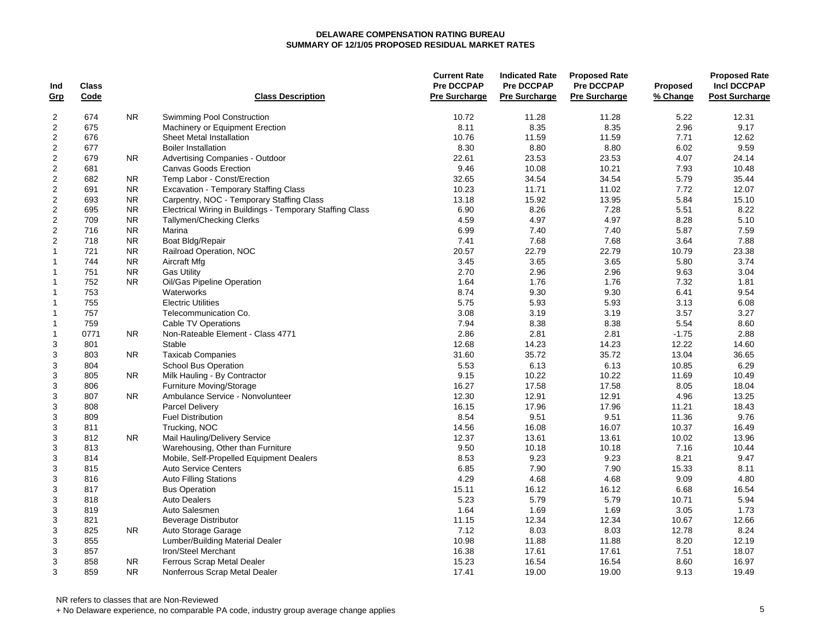| Ind<br><u>Grp</u> | <b>Class</b><br><b>Code</b> |                | <b>Class Description</b>                                  | <b>Current Rate</b><br><b>Pre DCCPAP</b><br><b>Pre Surcharge</b> | <b>Indicated Rate</b><br><b>Pre DCCPAP</b><br><b>Pre Surcharge</b> | <b>Proposed Rate</b><br><b>Pre DCCPAP</b><br><b>Pre Surcharge</b> | <b>Proposed</b><br>% Change | <b>Proposed Rate</b><br><b>Incl DCCPAP</b><br><b>Post Surcharge</b> |
|-------------------|-----------------------------|----------------|-----------------------------------------------------------|------------------------------------------------------------------|--------------------------------------------------------------------|-------------------------------------------------------------------|-----------------------------|---------------------------------------------------------------------|
|                   |                             |                |                                                           |                                                                  |                                                                    |                                                                   |                             |                                                                     |
| $\overline{c}$    | 674                         | <b>NR</b>      | Swimming Pool Construction                                | 10.72                                                            | 11.28                                                              | 11.28                                                             | 5.22                        | 12.31                                                               |
| $\overline{2}$    | 675                         |                | Machinery or Equipment Erection                           | 8.11                                                             | 8.35                                                               | 8.35                                                              | 2.96                        | 9.17                                                                |
| $\boldsymbol{2}$  | 676                         |                | Sheet Metal Installation                                  | 10.76                                                            | 11.59                                                              | 11.59                                                             | 7.71                        | 12.62                                                               |
| $\overline{c}$    | 677                         |                | <b>Boiler Installation</b>                                | 8.30                                                             | 8.80                                                               | 8.80                                                              | 6.02                        | 9.59                                                                |
| $\boldsymbol{2}$  | 679                         | NR.            | <b>Advertising Companies - Outdoor</b>                    | 22.61                                                            | 23.53                                                              | 23.53                                                             | 4.07                        | 24.14                                                               |
| $\overline{c}$    | 681                         |                | <b>Canvas Goods Erection</b>                              | 9.46                                                             | 10.08                                                              | 10.21                                                             | 7.93                        | 10.48                                                               |
| $\boldsymbol{2}$  | 682                         | NR.            | Temp Labor - Const/Erection                               | 32.65                                                            | 34.54                                                              | 34.54                                                             | 5.79                        | 35.44                                                               |
| $\overline{2}$    | 691                         | <b>NR</b>      | <b>Excavation - Temporary Staffing Class</b>              | 10.23                                                            | 11.71                                                              | 11.02                                                             | 7.72                        | 12.07                                                               |
| $\sqrt{2}$        | 693                         | <b>NR</b>      | Carpentry, NOC - Temporary Staffing Class                 | 13.18                                                            | 15.92                                                              | 13.95                                                             | 5.84                        | 15.10                                                               |
| $\overline{2}$    | 695                         | <b>NR</b>      | Electrical Wiring in Buildings - Temporary Staffing Class | 6.90                                                             | 8.26                                                               | 7.28                                                              | 5.51                        | 8.22                                                                |
| $\overline{2}$    | 709                         | <b>NR</b>      | Tallymen/Checking Clerks                                  | 4.59                                                             | 4.97                                                               | 4.97                                                              | 8.28                        | 5.10                                                                |
| $\boldsymbol{2}$  | 716                         | <b>NR</b>      | Marina                                                    | 6.99                                                             | 7.40                                                               | 7.40                                                              | 5.87                        | 7.59                                                                |
| $\boldsymbol{2}$  | 718                         | <b>NR</b>      | Boat Bldg/Repair                                          | 7.41                                                             | 7.68                                                               | 7.68                                                              | 3.64                        | 7.88                                                                |
| $\mathbf{1}$      | 721                         | <b>NR</b>      | Railroad Operation, NOC                                   | 20.57                                                            | 22.79                                                              | 22.79                                                             | 10.79                       | 23.38                                                               |
| 1                 | 744                         | <b>NR</b>      | Aircraft Mfg                                              | 3.45                                                             | 3.65                                                               | 3.65                                                              | 5.80                        | 3.74                                                                |
| $\mathbf{1}$      | 751                         | <b>NR</b>      | <b>Gas Utility</b>                                        | 2.70                                                             | 2.96                                                               | 2.96                                                              | 9.63                        | 3.04                                                                |
| $\mathbf{1}$      | 752                         | <b>NR</b>      | Oil/Gas Pipeline Operation                                | 1.64                                                             | 1.76                                                               | 1.76                                                              | 7.32                        | 1.81                                                                |
| $\mathbf{1}$      | 753                         |                | Waterworks                                                | 8.74                                                             | 9.30                                                               | 9.30                                                              | 6.41                        | 9.54                                                                |
| $\mathbf{1}$      | 755                         |                | <b>Electric Utilities</b>                                 | 5.75                                                             | 5.93                                                               | 5.93                                                              | 3.13                        | 6.08                                                                |
| $\mathbf{1}$      | 757                         |                | Telecommunication Co.                                     | 3.08                                                             | 3.19                                                               | 3.19                                                              | 3.57                        | 3.27                                                                |
| 1                 | 759                         |                | Cable TV Operations                                       | 7.94                                                             | 8.38                                                               | 8.38                                                              | 5.54                        | 8.60                                                                |
| $\mathbf{1}$      | 0771                        | <b>NR</b>      | Non-Rateable Element - Class 4771                         | 2.86                                                             | 2.81                                                               | 2.81                                                              | $-1.75$                     | 2.88                                                                |
| 3                 | 801                         |                | Stable                                                    | 12.68                                                            | 14.23                                                              | 14.23                                                             | 12.22                       | 14.60                                                               |
| 3                 | 803                         | <b>NR</b>      | <b>Taxicab Companies</b>                                  | 31.60                                                            | 35.72                                                              | 35.72                                                             | 13.04                       | 36.65                                                               |
| 3                 | 804                         |                | School Bus Operation                                      | 5.53                                                             | 6.13                                                               | 6.13                                                              | 10.85                       | 6.29                                                                |
| 3                 | 805                         | <b>NR</b>      | Milk Hauling - By Contractor                              | 9.15                                                             | 10.22                                                              | 10.22                                                             | 11.69                       | 10.49                                                               |
| 3                 | 806                         |                | <b>Furniture Moving/Storage</b>                           | 16.27                                                            | 17.58                                                              | 17.58                                                             | 8.05                        | 18.04                                                               |
| 3                 | 807                         | NR.            | Ambulance Service - Nonvolunteer                          | 12.30                                                            | 12.91                                                              | 12.91                                                             | 4.96                        | 13.25                                                               |
| 3                 | 808                         |                | <b>Parcel Delivery</b>                                    | 16.15                                                            | 17.96                                                              | 17.96                                                             | 11.21                       | 18.43                                                               |
| 3                 | 809                         |                | <b>Fuel Distribution</b>                                  | 8.54                                                             | 9.51                                                               | 9.51                                                              | 11.36                       | 9.76                                                                |
| 3                 | 811                         |                | Trucking, NOC                                             | 14.56                                                            | 16.08                                                              | 16.07                                                             | 10.37                       | 16.49                                                               |
| 3                 | 812                         | N <sub>R</sub> | Mail Hauling/Delivery Service                             | 12.37                                                            | 13.61                                                              | 13.61                                                             | 10.02                       | 13.96                                                               |
| 3                 | 813                         |                | Warehousing, Other than Furniture                         | 9.50                                                             | 10.18                                                              | 10.18                                                             | 7.16                        | 10.44                                                               |
| 3                 | 814                         |                | Mobile, Self-Propelled Equipment Dealers                  | 8.53                                                             | 9.23                                                               | 9.23                                                              | 8.21                        | 9.47                                                                |
| 3                 | 815                         |                | <b>Auto Service Centers</b>                               | 6.85                                                             | 7.90                                                               | 7.90                                                              | 15.33                       | 8.11                                                                |
| 3                 | 816                         |                | <b>Auto Filling Stations</b>                              | 4.29                                                             | 4.68                                                               | 4.68                                                              | 9.09                        | 4.80                                                                |
| 3                 | 817                         |                | <b>Bus Operation</b>                                      | 15.11                                                            | 16.12                                                              | 16.12                                                             | 6.68                        | 16.54                                                               |
| 3                 | 818                         |                | <b>Auto Dealers</b>                                       | 5.23                                                             | 5.79                                                               | 5.79                                                              | 10.71                       | 5.94                                                                |
| 3                 | 819                         |                | Auto Salesmen                                             | 1.64                                                             | 1.69                                                               | 1.69                                                              | 3.05                        | 1.73                                                                |
| 3                 | 821                         |                | <b>Beverage Distributor</b>                               | 11.15                                                            | 12.34                                                              | 12.34                                                             | 10.67                       | 12.66                                                               |
| 3                 | 825                         | <b>NR</b>      | Auto Storage Garage                                       | 7.12                                                             | 8.03                                                               | 8.03                                                              | 12.78                       | 8.24                                                                |
| 3                 | 855                         |                | Lumber/Building Material Dealer                           | 10.98                                                            | 11.88                                                              | 11.88                                                             | 8.20                        | 12.19                                                               |
| 3                 | 857                         |                | Iron/Steel Merchant                                       | 16.38                                                            | 17.61                                                              | 17.61                                                             | 7.51                        | 18.07                                                               |
| 3                 | 858                         | <b>NR</b>      | Ferrous Scrap Metal Dealer                                | 15.23                                                            | 16.54                                                              | 16.54                                                             | 8.60                        | 16.97                                                               |
| 3                 | 859                         | <b>NR</b>      | Nonferrous Scrap Metal Dealer                             | 17.41                                                            | 19.00                                                              | 19.00                                                             | 9.13                        | 19.49                                                               |

NR refers to classes that are Non-Reviewed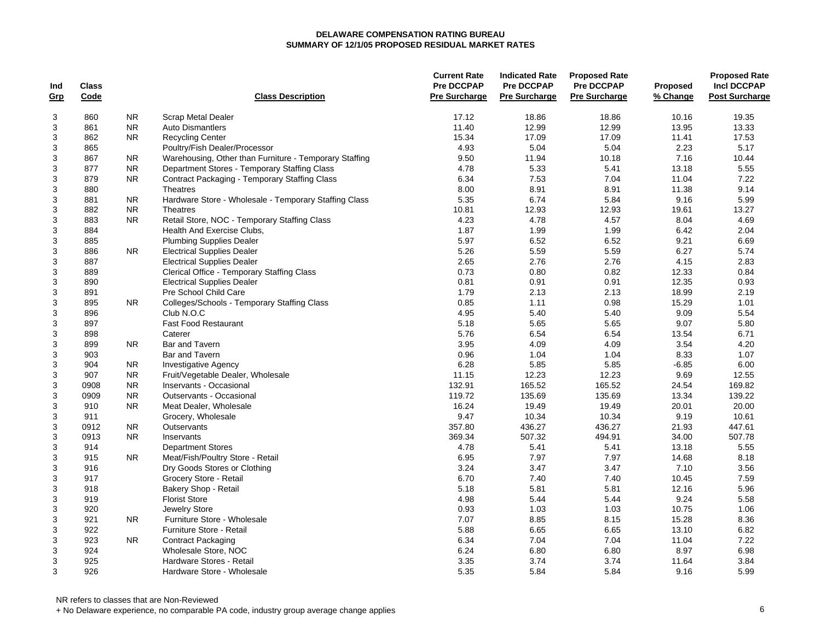| Ind | <b>Class</b> |                |                                                        | <b>Current Rate</b><br><b>Pre DCCPAP</b> | <b>Indicated Rate</b><br><b>Pre DCCPAP</b> | <b>Proposed Rate</b><br><b>Pre DCCPAP</b> | <b>Proposed</b> | <b>Proposed Rate</b><br><b>Incl DCCPAP</b> |
|-----|--------------|----------------|--------------------------------------------------------|------------------------------------------|--------------------------------------------|-------------------------------------------|-----------------|--------------------------------------------|
| Grp | Code         |                | <b>Class Description</b>                               | <b>Pre Surcharge</b>                     | <b>Pre Surcharge</b>                       | <b>Pre Surcharge</b>                      | % Change        | <b>Post Surcharge</b>                      |
| 3   | 860          | <b>NR</b>      | <b>Scrap Metal Dealer</b>                              | 17.12                                    | 18.86                                      | 18.86                                     | 10.16           | 19.35                                      |
| 3   | 861          | <b>NR</b>      | <b>Auto Dismantlers</b>                                | 11.40                                    | 12.99                                      | 12.99                                     | 13.95           | 13.33                                      |
| 3   | 862          | <b>NR</b>      | <b>Recycling Center</b>                                | 15.34                                    | 17.09                                      | 17.09                                     | 11.41           | 17.53                                      |
| 3   | 865          |                | Poultry/Fish Dealer/Processor                          | 4.93                                     | 5.04                                       | 5.04                                      | 2.23            | 5.17                                       |
| 3   | 867          | <b>NR</b>      | Warehousing, Other than Furniture - Temporary Staffing | 9.50                                     | 11.94                                      | 10.18                                     | 7.16            | 10.44                                      |
| 3   | 877          | <b>NR</b>      | Department Stores - Temporary Staffing Class           | 4.78                                     | 5.33                                       | 5.41                                      | 13.18           | 5.55                                       |
| 3   | 879          | <b>NR</b>      | <b>Contract Packaging - Temporary Staffing Class</b>   | 6.34                                     | 7.53                                       | 7.04                                      | 11.04           | 7.22                                       |
| 3   | 880          |                | <b>Theatres</b>                                        | 8.00                                     | 8.91                                       | 8.91                                      | 11.38           | 9.14                                       |
| 3   | 881          | <b>NR</b>      | Hardware Store - Wholesale - Temporary Staffing Class  | 5.35                                     | 6.74                                       | 5.84                                      | 9.16            | 5.99                                       |
| 3   | 882          | <b>NR</b>      | <b>Theatres</b>                                        | 10.81                                    | 12.93                                      | 12.93                                     | 19.61           | 13.27                                      |
| 3   | 883          | <b>NR</b>      | Retail Store, NOC - Temporary Staffing Class           | 4.23                                     | 4.78                                       | 4.57                                      | 8.04            | 4.69                                       |
| 3   | 884          |                | Health And Exercise Clubs,                             | 1.87                                     | 1.99                                       | 1.99                                      | 6.42            | 2.04                                       |
| 3   | 885          |                | <b>Plumbing Supplies Dealer</b>                        | 5.97                                     | 6.52                                       | 6.52                                      | 9.21            | 6.69                                       |
| 3   | 886          | NR.            | <b>Electrical Supplies Dealer</b>                      | 5.26                                     | 5.59                                       | 5.59                                      | 6.27            | 5.74                                       |
| 3   | 887          |                | <b>Electrical Supplies Dealer</b>                      | 2.65                                     | 2.76                                       | 2.76                                      | 4.15            | 2.83                                       |
| 3   | 889          |                | Clerical Office - Temporary Staffing Class             | 0.73                                     | 0.80                                       | 0.82                                      | 12.33           | 0.84                                       |
| 3   | 890          |                | <b>Electrical Supplies Dealer</b>                      | 0.81                                     | 0.91                                       | 0.91                                      | 12.35           | 0.93                                       |
| 3   | 891          |                | Pre School Child Care                                  | 1.79                                     | 2.13                                       | 2.13                                      | 18.99           | 2.19                                       |
| 3   | 895          | <b>NR</b>      | Colleges/Schools - Temporary Staffing Class            | 0.85                                     | 1.11                                       | 0.98                                      | 15.29           | 1.01                                       |
| 3   | 896          |                | Club N.O.C                                             | 4.95                                     | 5.40                                       | 5.40                                      | 9.09            | 5.54                                       |
| 3   | 897          |                | <b>Fast Food Restaurant</b>                            | 5.18                                     | 5.65                                       | 5.65                                      | 9.07            | 5.80                                       |
| 3   | 898          |                | Caterer                                                | 5.76                                     | 6.54                                       | 6.54                                      | 13.54           | 6.71                                       |
| 3   | 899          | NR.            | Bar and Tavern                                         | 3.95                                     | 4.09                                       | 4.09                                      | 3.54            | 4.20                                       |
| 3   | 903          |                | Bar and Tavern                                         | 0.96                                     | 1.04                                       | 1.04                                      | 8.33            | 1.07                                       |
| 3   | 904          | <b>NR</b>      | Investigative Agency                                   | 6.28                                     | 5.85                                       | 5.85                                      | $-6.85$         | 6.00                                       |
| 3   | 907          | <b>NR</b>      | Fruit/Vegetable Dealer, Wholesale                      | 11.15                                    | 12.23                                      | 12.23                                     | 9.69            | 12.55                                      |
| 3   | 0908         | <b>NR</b>      | Inservants - Occasional                                | 132.91                                   | 165.52                                     | 165.52                                    | 24.54           | 169.82                                     |
| 3   | 0909         | <b>NR</b>      | Outservants - Occasional                               | 119.72                                   | 135.69                                     | 135.69                                    | 13.34           | 139.22                                     |
| 3   | 910          | <b>NR</b>      | Meat Dealer, Wholesale                                 | 16.24                                    | 19.49                                      | 19.49                                     | 20.01           | 20.00                                      |
| 3   | 911          |                | Grocery, Wholesale                                     | 9.47                                     | 10.34                                      | 10.34                                     | 9.19            | 10.61                                      |
| 3   | 0912         | <b>NR</b>      | Outservants                                            | 357.80                                   | 436.27                                     | 436.27                                    | 21.93           | 447.61                                     |
| 3   | 0913         | <b>NR</b>      | Inservants                                             | 369.34                                   | 507.32                                     | 494.91                                    | 34.00           | 507.78                                     |
| 3   | 914          |                | <b>Department Stores</b>                               | 4.78                                     | 5.41                                       | 5.41                                      | 13.18           | 5.55                                       |
| 3   | 915          | N <sub>R</sub> | Meat/Fish/Poultry Store - Retail                       | 6.95                                     | 7.97                                       | 7.97                                      | 14.68           | 8.18                                       |
| 3   | 916          |                | Dry Goods Stores or Clothing                           | 3.24                                     | 3.47                                       | 3.47                                      | 7.10            | 3.56                                       |
| 3   | 917          |                | Grocery Store - Retail                                 | 6.70                                     | 7.40                                       | 7.40                                      | 10.45           | 7.59                                       |
| 3   | 918          |                | Bakery Shop - Retail                                   | 5.18                                     | 5.81                                       | 5.81                                      | 12.16           | 5.96                                       |
| 3   | 919          |                | <b>Florist Store</b>                                   | 4.98                                     | 5.44                                       | 5.44                                      | 9.24            | 5.58                                       |
| 3   | 920          |                | Jewelry Store                                          | 0.93                                     | 1.03                                       | 1.03                                      | 10.75           | 1.06                                       |
| 3   | 921          | NR.            | Furniture Store - Wholesale                            | 7.07                                     | 8.85                                       | 8.15                                      | 15.28           | 8.36                                       |
| 3   | 922          |                | Furniture Store - Retail                               | 5.88                                     | 6.65                                       | 6.65                                      | 13.10           | 6.82                                       |
| 3   | 923          | NR.            | <b>Contract Packaging</b>                              | 6.34                                     | 7.04                                       | 7.04                                      | 11.04           | 7.22                                       |
| 3   | 924          |                | Wholesale Store, NOC                                   | 6.24                                     | 6.80                                       | 6.80                                      | 8.97            | 6.98                                       |
| 3   | 925          |                | Hardware Stores - Retail                               | 3.35                                     | 3.74                                       | 3.74                                      | 11.64           | 3.84                                       |
| 3   | 926          |                | Hardware Store - Wholesale                             | 5.35                                     | 5.84                                       | 5.84                                      | 9.16            | 5.99                                       |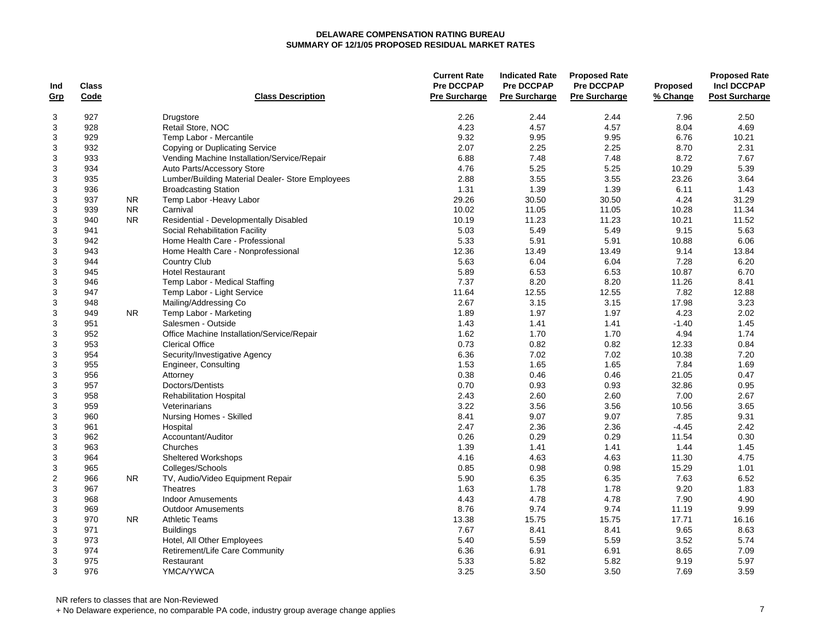| Ind              | <b>Class</b> |           |                                                  | <b>Current Rate</b><br><b>Pre DCCPAP</b> | <b>Indicated Rate</b><br><b>Pre DCCPAP</b> | <b>Proposed Rate</b><br><b>Pre DCCPAP</b> | <b>Proposed</b> | <b>Proposed Rate</b><br><b>Incl DCCPAP</b> |
|------------------|--------------|-----------|--------------------------------------------------|------------------------------------------|--------------------------------------------|-------------------------------------------|-----------------|--------------------------------------------|
| <u>Grp</u>       | Code         |           | <b>Class Description</b>                         | <b>Pre Surcharge</b>                     | <b>Pre Surcharge</b>                       | <b>Pre Surcharge</b>                      | % Change        | <b>Post Surcharge</b>                      |
| 3                | 927          |           | Drugstore                                        | 2.26                                     | 2.44                                       | 2.44                                      | 7.96            | 2.50                                       |
| 3                | 928          |           | Retail Store, NOC                                | 4.23                                     | 4.57                                       | 4.57                                      | 8.04            | 4.69                                       |
| 3                | 929          |           | Temp Labor - Mercantile                          | 9.32                                     | 9.95                                       | 9.95                                      | 6.76            | 10.21                                      |
| 3                | 932          |           | <b>Copying or Duplicating Service</b>            | 2.07                                     | 2.25                                       | 2.25                                      | 8.70            | 2.31                                       |
| $\mathsf 3$      | 933          |           | Vending Machine Installation/Service/Repair      | 6.88                                     | 7.48                                       | 7.48                                      | 8.72            | 7.67                                       |
| 3                | 934          |           | Auto Parts/Accessory Store                       | 4.76                                     | 5.25                                       | 5.25                                      | 10.29           | 5.39                                       |
| 3                | 935          |           | Lumber/Building Material Dealer- Store Employees | 2.88                                     | 3.55                                       | 3.55                                      | 23.26           | 3.64                                       |
| 3                | 936          |           | <b>Broadcasting Station</b>                      | 1.31                                     | 1.39                                       | 1.39                                      | 6.11            | 1.43                                       |
| 3                | 937          | <b>NR</b> | Temp Labor - Heavy Labor                         | 29.26                                    | 30.50                                      | 30.50                                     | 4.24            | 31.29                                      |
| 3                | 939          | <b>NR</b> | Carnival                                         | 10.02                                    | 11.05                                      | 11.05                                     | 10.28           | 11.34                                      |
| 3                | 940          | <b>NR</b> | Residential - Developmentally Disabled           | 10.19                                    | 11.23                                      | 11.23                                     | 10.21           | 11.52                                      |
| 3                | 941          |           | Social Rehabilitation Facility                   | 5.03                                     | 5.49                                       | 5.49                                      | 9.15            | 5.63                                       |
| 3                | 942          |           | Home Health Care - Professional                  | 5.33                                     | 5.91                                       | 5.91                                      | 10.88           | 6.06                                       |
| 3                | 943          |           | Home Health Care - Nonprofessional               | 12.36                                    | 13.49                                      | 13.49                                     | 9.14            | 13.84                                      |
| 3                | 944          |           | <b>Country Club</b>                              | 5.63                                     | 6.04                                       | 6.04                                      | 7.28            | 6.20                                       |
| 3                | 945          |           | <b>Hotel Restaurant</b>                          | 5.89                                     | 6.53                                       | 6.53                                      | 10.87           | 6.70                                       |
| 3                | 946          |           | Temp Labor - Medical Staffing                    | 7.37                                     | 8.20                                       | 8.20                                      | 11.26           | 8.41                                       |
| 3                | 947          |           | Temp Labor - Light Service                       | 11.64                                    | 12.55                                      | 12.55                                     | 7.82            | 12.88                                      |
| 3                | 948          |           | Mailing/Addressing Co                            | 2.67                                     | 3.15                                       | 3.15                                      | 17.98           | 3.23                                       |
| 3                | 949          | <b>NR</b> | Temp Labor - Marketing                           | 1.89                                     | 1.97                                       | 1.97                                      | 4.23            | 2.02                                       |
| 3                | 951          |           | Salesmen - Outside                               | 1.43                                     | 1.41                                       | 1.41                                      | $-1.40$         | 1.45                                       |
| $\mathsf 3$      | 952          |           | Office Machine Installation/Service/Repair       | 1.62                                     | 1.70                                       | 1.70                                      | 4.94            | 1.74                                       |
| 3                | 953          |           | <b>Clerical Office</b>                           | 0.73                                     | 0.82                                       | 0.82                                      | 12.33           | 0.84                                       |
| 3                | 954          |           | Security/Investigative Agency                    | 6.36                                     | 7.02                                       | 7.02                                      | 10.38           | 7.20                                       |
| 3                | 955          |           | Engineer, Consulting                             | 1.53                                     | 1.65                                       | 1.65                                      | 7.84            | 1.69                                       |
| 3                | 956          |           | Attorney                                         | 0.38                                     | 0.46                                       | 0.46                                      | 21.05           | 0.47                                       |
| 3                | 957          |           | Doctors/Dentists                                 | 0.70                                     | 0.93                                       | 0.93                                      | 32.86           | 0.95                                       |
| 3                | 958          |           | <b>Rehabilitation Hospital</b>                   | 2.43                                     | 2.60                                       | 2.60                                      | 7.00            | 2.67                                       |
| 3                | 959          |           | Veterinarians                                    | 3.22                                     | 3.56                                       | 3.56                                      | 10.56           | 3.65                                       |
| 3                | 960          |           | Nursing Homes - Skilled                          | 8.41                                     | 9.07                                       | 9.07                                      | 7.85            | 9.31                                       |
| 3                | 961          |           | Hospital                                         | 2.47                                     | 2.36                                       | 2.36                                      | $-4.45$         | 2.42                                       |
| 3                | 962          |           | Accountant/Auditor                               | 0.26                                     | 0.29                                       | 0.29                                      | 11.54           | 0.30                                       |
| 3                | 963          |           | Churches                                         | 1.39                                     | 1.41                                       | 1.41                                      | 1.44            | 1.45                                       |
| 3                | 964          |           | Sheltered Workshops                              | 4.16                                     | 4.63                                       | 4.63                                      | 11.30           | 4.75                                       |
| $\mathsf 3$      | 965          |           | Colleges/Schools                                 | 0.85                                     | 0.98                                       | 0.98                                      | 15.29           | 1.01                                       |
| $\boldsymbol{2}$ | 966          | <b>NR</b> | TV, Audio/Video Equipment Repair                 | 5.90                                     | 6.35                                       | 6.35                                      | 7.63            | 6.52                                       |
| $\mathsf 3$      | 967          |           | Theatres                                         | 1.63                                     | 1.78                                       | 1.78                                      | 9.20            | 1.83                                       |
| 3                | 968          |           | <b>Indoor Amusements</b>                         | 4.43                                     | 4.78                                       | 4.78                                      | 7.90            | 4.90                                       |
| 3                | 969          |           | <b>Outdoor Amusements</b>                        | 8.76                                     | 9.74                                       | 9.74                                      | 11.19           | 9.99                                       |
| 3                | 970          | NR.       | <b>Athletic Teams</b>                            | 13.38                                    | 15.75                                      | 15.75                                     | 17.71           | 16.16                                      |
|                  | 971          |           |                                                  | 7.67                                     | 8.41                                       | 8.41                                      | 9.65            | 8.63                                       |
| 3                |              |           | <b>Buildings</b>                                 |                                          |                                            |                                           |                 |                                            |
| 3                | 973          |           | Hotel, All Other Employees                       | 5.40                                     | 5.59                                       | 5.59                                      | 3.52            | 5.74                                       |
| 3                | 974          |           | Retirement/Life Care Community                   | 6.36                                     | 6.91                                       | 6.91                                      | 8.65            | 7.09                                       |
| 3                | 975          |           | Restaurant                                       | 5.33                                     | 5.82                                       | 5.82                                      | 9.19            | 5.97                                       |
| 3                | 976          |           | YMCA/YWCA                                        | 3.25                                     | 3.50                                       | 3.50                                      | 7.69            | 3.59                                       |